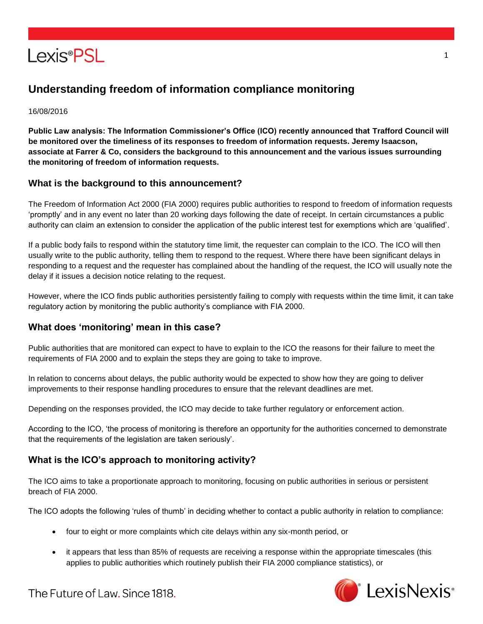

# **Understanding freedom of information compliance monitoring**

#### 16/08/2016

**Public Law analysis: The Information Commissioner's Office (ICO) recently announced that Trafford Council will be monitored over the timeliness of its responses to freedom of information requests. Jeremy Isaacson, associate at Farrer & Co, considers the background to this announcement and the various issues surrounding the monitoring of freedom of information requests.**

#### **What is the background to this announcement?**

The Freedom of Information Act 2000 (FIA 2000) requires public authorities to respond to freedom of information requests 'promptly' and in any event no later than 20 working days following the date of receipt. In certain circumstances a public authority can claim an extension to consider the application of the public interest test for exemptions which are 'qualified'.

If a public body fails to respond within the statutory time limit, the requester can complain to the ICO. The ICO will then usually write to the public authority, telling them to respond to the request. Where there have been significant delays in responding to a request and the requester has complained about the handling of the request, the ICO will usually note the delay if it issues a decision notice relating to the request.

However, where the ICO finds public authorities persistently failing to comply with requests within the time limit, it can take regulatory action by monitoring the public authority's compliance with FIA 2000.

#### **What does 'monitoring' mean in this case?**

Public authorities that are monitored can expect to have to explain to the ICO the reasons for their failure to meet the requirements of FIA 2000 and to explain the steps they are going to take to improve.

In relation to concerns about delays, the public authority would be expected to show how they are going to deliver improvements to their response handling procedures to ensure that the relevant deadlines are met.

Depending on the responses provided, the ICO may decide to take further regulatory or enforcement action.

According to the ICO, 'the process of monitoring is therefore an opportunity for the authorities concerned to demonstrate that the requirements of the legislation are taken seriously'.

#### **What is the ICO's approach to monitoring activity?**

The ICO aims to take a proportionate approach to monitoring, focusing on public authorities in serious or persistent breach of FIA 2000.

The ICO adopts the following 'rules of thumb' in deciding whether to contact a public authority in relation to compliance:

- four to eight or more complaints which cite delays within any six-month period, or
- it appears that less than 85% of requests are receiving a response within the appropriate timescales (this applies to public authorities which routinely publish their FIA 2000 compliance statistics), or



The Future of Law, Since 1818.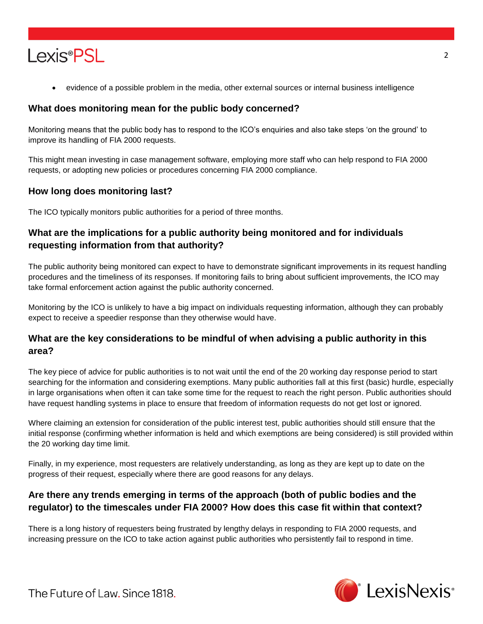

evidence of a possible problem in the media, other external sources or internal business intelligence

#### **What does monitoring mean for the public body concerned?**

Monitoring means that the public body has to respond to the ICO's enquiries and also take steps 'on the ground' to improve its handling of FIA 2000 requests.

This might mean investing in case management software, employing more staff who can help respond to FIA 2000 requests, or adopting new policies or procedures concerning FIA 2000 compliance.

#### **How long does monitoring last?**

The ICO typically monitors public authorities for a period of three months.

#### **What are the implications for a public authority being monitored and for individuals requesting information from that authority?**

The public authority being monitored can expect to have to demonstrate significant improvements in its request handling procedures and the timeliness of its responses. If monitoring fails to bring about sufficient improvements, the ICO may take formal enforcement action against the public authority concerned.

Monitoring by the ICO is unlikely to have a big impact on individuals requesting information, although they can probably expect to receive a speedier response than they otherwise would have.

### **What are the key considerations to be mindful of when advising a public authority in this area?**

The key piece of advice for public authorities is to not wait until the end of the 20 working day response period to start searching for the information and considering exemptions. Many public authorities fall at this first (basic) hurdle, especially in large organisations when often it can take some time for the request to reach the right person. Public authorities should have request handling systems in place to ensure that freedom of information requests do not get lost or ignored.

Where claiming an extension for consideration of the public interest test, public authorities should still ensure that the initial response (confirming whether information is held and which exemptions are being considered) is still provided within the 20 working day time limit.

Finally, in my experience, most requesters are relatively understanding, as long as they are kept up to date on the progress of their request, especially where there are good reasons for any delays.

### **Are there any trends emerging in terms of the approach (both of public bodies and the regulator) to the timescales under FIA 2000? How does this case fit within that context?**

There is a long history of requesters being frustrated by lengthy delays in responding to FIA 2000 requests, and increasing pressure on the ICO to take action against public authorities who persistently fail to respond in time.



The Future of Law, Since 1818.